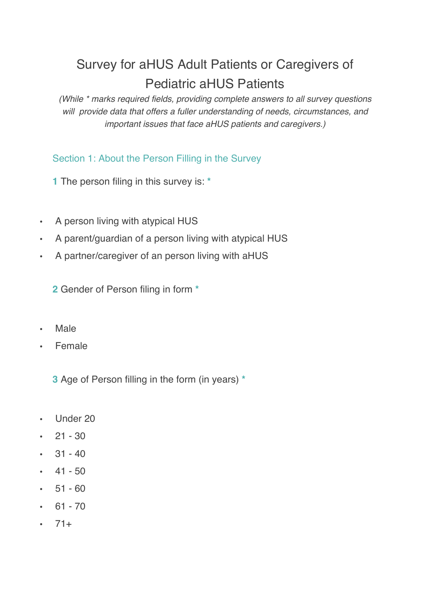# Survey for aHUS Adult Patients or Caregivers of Pediatric aHUS Patients

*(While \* marks required fields, providing complete answers to all survey questions will provide data that offers a fuller understanding of needs, circumstances, and important issues that face aHUS patients and caregivers.)*

## Section 1: About the Person Filling in the Survey

**1** The person filing in this survey is: **\***

- A person living with atypical HUS
- A parent/guardian of a person living with atypical HUS
- A partner/caregiver of an person living with aHUS

**2** Gender of Person filing in form **\***

- Male
- Female

**3** Age of Person filling in the form (in years) **\***

- Under 20
- $\cdot$  21 30
- $\cdot$  31 40
- $\cdot$  41 50
- $\cdot$  51 60
- $\cdot$  61 70
- $-71+$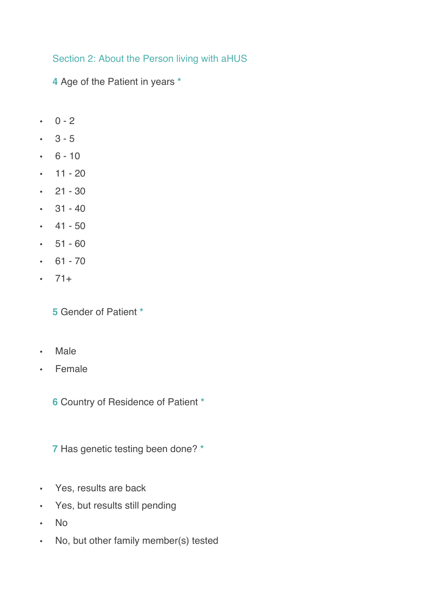## Section 2: About the Person living with aHUS

**4** Age of the Patient in years **\***

- $\cdot$  0 2
- $-3 5$
- $\cdot$  6 10
- $\cdot$  11 20
- $\cdot$  21 30
- $\cdot$  31 40
- $\cdot$  41 50
- $51 60$
- $61 70$
- $71+$

**5** Gender of Patient **\***

- Male
- Female

**6** Country of Residence of Patient **\***

**7** Has genetic testing been done? **\***

- Yes, results are back
- Yes, but results still pending
- No
- No, but other family member(s) tested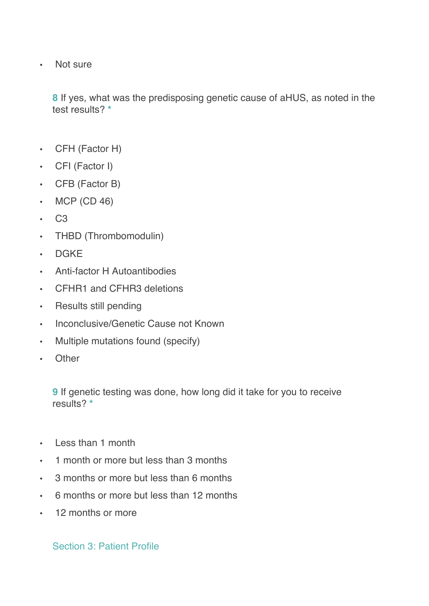• Not sure

**8** If yes, what was the predisposing genetic cause of aHUS, as noted in the test results? **\***

- CFH (Factor H)
- CFI (Factor I)
- CFB (Factor B)
- MCP (CD 46)
- C3
- THBD (Thrombomodulin)
- DGKE
- Anti-factor H Autoantibodies
- CFHR1 and CFHR3 deletions
- Results still pending
- Inconclusive/Genetic Cause not Known
- Multiple mutations found (specify)
- Other

**9** If genetic testing was done, how long did it take for you to receive results? **\***

- Less than 1 month
- 1 month or more but less than 3 months
- 3 months or more but less than 6 months
- 6 months or more but less than 12 months
- 12 months or more

Section 3: Patient Profile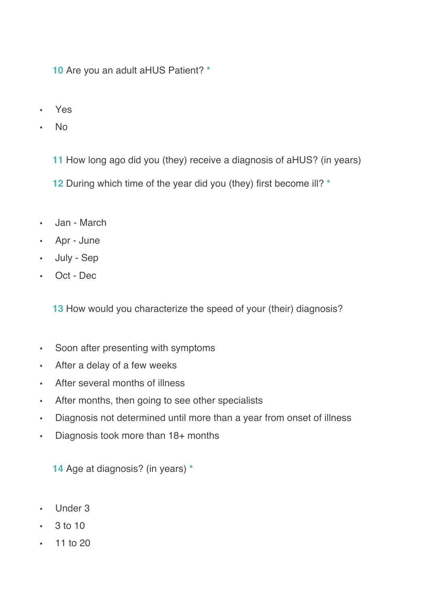**10** Are you an adult aHUS Patient? **\***

- Yes
- No

**11** How long ago did you (they) receive a diagnosis of aHUS? (in years)

**12** During which time of the year did you (they) first become ill? **\***

- Jan March
- Apr June
- July Sep
- Oct Dec

**13** How would you characterize the speed of your (their) diagnosis?

- Soon after presenting with symptoms
- After a delay of a few weeks
- After several months of illness
- After months, then going to see other specialists
- Diagnosis not determined until more than a year from onset of illness
- Diagnosis took more than 18+ months

**14** Age at diagnosis? (in years) **\***

- Under 3
- $\cdot$  3 to 10
- 11 to 20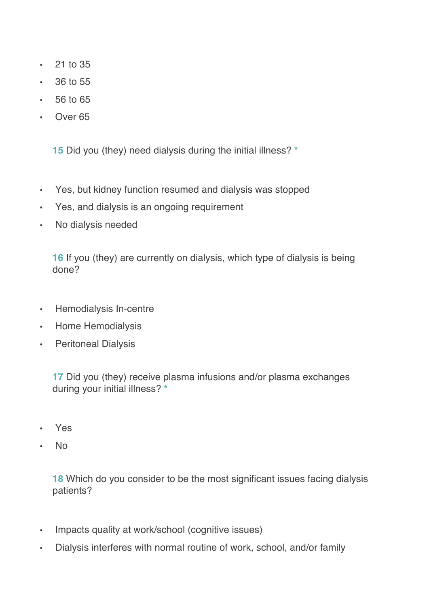- 21 to 35
- 36 to 55
- 56 to 65
- Over 65

**15** Did you (they) need dialysis during the initial illness? **\***

- Yes, but kidney function resumed and dialysis was stopped
- Yes, and dialysis is an ongoing requirement
- No dialysis needed

**16** If you (they) are currently on dialysis, which type of dialysis is being done?

- Hemodialysis In-centre
- Home Hemodialysis
- Peritoneal Dialysis

**17** Did you (they) receive plasma infusions and/or plasma exchanges during your initial illness? **\***

- Yes
- No

**18** Which do you consider to be the most significant issues facing dialysis patients?

- Impacts quality at work/school (cognitive issues)
- Dialysis interferes with normal routine of work, school, and/or family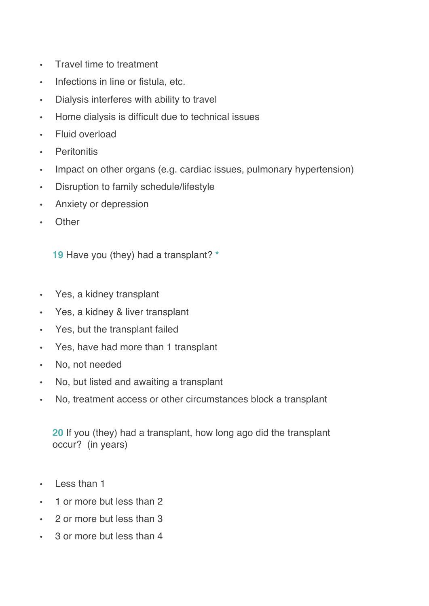- Travel time to treatment
- Infections in line or fistula, etc.
- Dialysis interferes with ability to travel
- Home dialysis is difficult due to technical issues
- Fluid overload
- Peritonitis
- Impact on other organs (e.g. cardiac issues, pulmonary hypertension)
- Disruption to family schedule/lifestyle
- Anxiety or depression
- Other

**19** Have you (they) had a transplant? **\***

- Yes, a kidney transplant
- Yes, a kidney & liver transplant
- Yes, but the transplant failed
- Yes, have had more than 1 transplant
- No, not needed
- No, but listed and awaiting a transplant
- No, treatment access or other circumstances block a transplant

**20** If you (they) had a transplant, how long ago did the transplant occur? (in years)

- Less than 1
- 1 or more but less than 2
- 2 or more but less than 3
- 3 or more but less than 4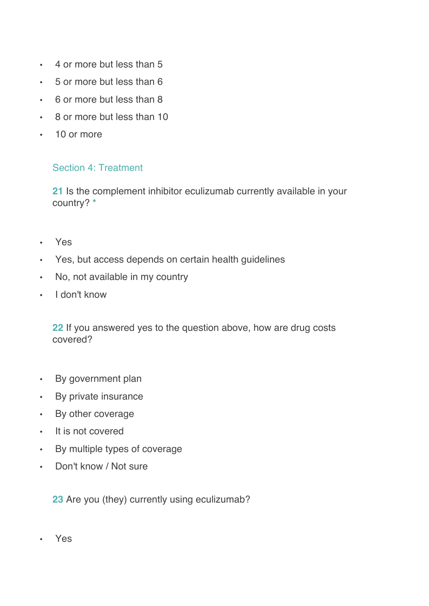- 4 or more but less than 5
- 5 or more but less than 6
- 6 or more but less than 8
- 8 or more but less than 10
- 10 or more

#### Section 4: Treatment

**21** Is the complement inhibitor eculizumab currently available in your country? **\***

- Yes
- Yes, but access depends on certain health guidelines
- No, not available in my country
- I don't know

**22** If you answered yes to the question above, how are drug costs covered?

- By government plan
- By private insurance
- By other coverage
- It is not covered
- By multiple types of coverage
- Don't know / Not sure

**23** Are you (they) currently using eculizumab?

• Yes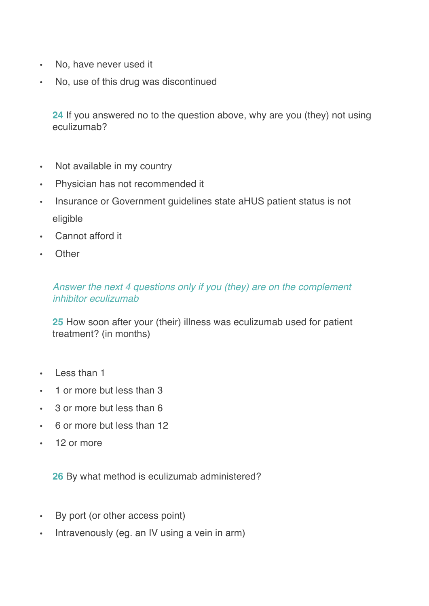- No, have never used it
- No, use of this drug was discontinued

**24** If you answered no to the question above, why are you (they) not using eculizumab?

- Not available in my country
- Physician has not recommended it
- Insurance or Government guidelines state aHUS patient status is not eligible
- Cannot afford it
- Other

### *Answer the next 4 questions only if you (they) are on the complement inhibitor eculizumab*

**25** How soon after your (their) illness was eculizumab used for patient treatment? (in months)

- Less than 1
- 1 or more but less than 3
- 3 or more but less than 6
- 6 or more but less than 12
- 12 or more

**26** By what method is eculizumab administered?

- By port (or other access point)
- Intravenously (eg. an IV using a vein in arm)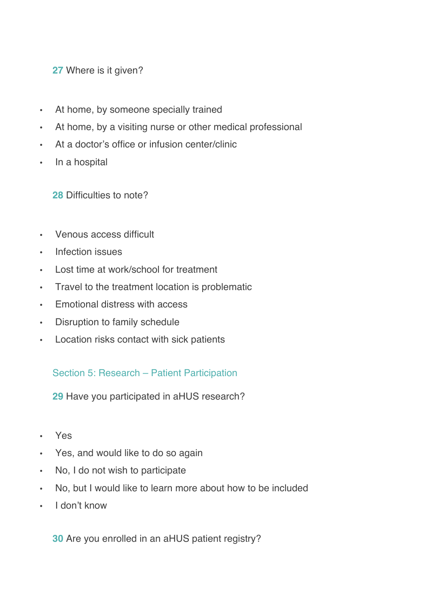### **27** Where is it given?

- At home, by someone specially trained
- At home, by a visiting nurse or other medical professional
- At a doctor's office or infusion center/clinic
- In a hospital

**28** Difficulties to note?

- Venous access difficult
- Infection issues
- Lost time at work/school for treatment
- Travel to the treatment location is problematic
- Emotional distress with access
- Disruption to family schedule
- Location risks contact with sick patients

#### Section 5: Research – Patient Participation

**29** Have you participated in aHUS research?

- Yes
- Yes, and would like to do so again
- No, I do not wish to participate
- No, but I would like to learn more about how to be included
- I don't know

**30** Are you enrolled in an aHUS patient registry?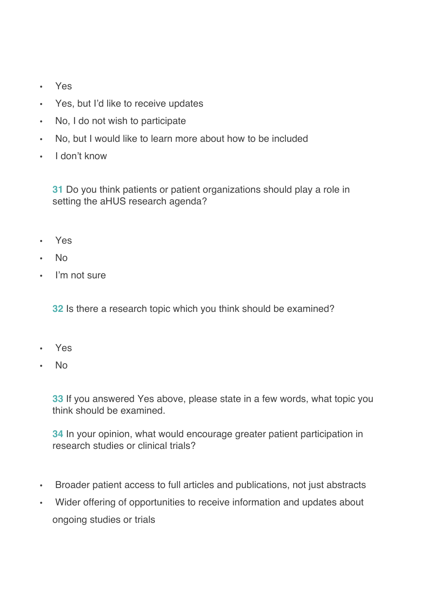- Yes
- Yes, but I'd like to receive updates
- No, I do not wish to participate
- No, but I would like to learn more about how to be included
- I don't know

**31** Do you think patients or patient organizations should play a role in setting the aHUS research agenda?

- Yes
- No
- I'm not sure

**32** Is there a research topic which you think should be examined?

- Yes
- No

**33** If you answered Yes above, please state in a few words, what topic you think should be examined.

**34** In your opinion, what would encourage greater patient participation in research studies or clinical trials?

- Broader patient access to full articles and publications, not just abstracts
- Wider offering of opportunities to receive information and updates about ongoing studies or trials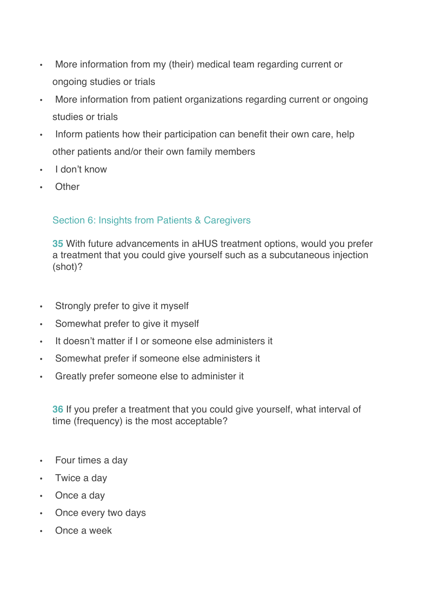- More information from my (their) medical team regarding current or ongoing studies or trials
- More information from patient organizations regarding current or ongoing studies or trials
- Inform patients how their participation can benefit their own care, help other patients and/or their own family members
- I don't know
- Other

## Section 6: Insights from Patients & Caregivers

**35** With future advancements in aHUS treatment options, would you prefer a treatment that you could give yourself such as a subcutaneous injection (shot)?

- Strongly prefer to give it myself
- Somewhat prefer to give it myself
- It doesn't matter if I or someone else administers it
- Somewhat prefer if someone else administers it
- Greatly prefer someone else to administer it

**36** If you prefer a treatment that you could give yourself, what interval of time (frequency) is the most acceptable?

- Four times a day
- Twice a day
- Once a day
- Once every two days
- Once a week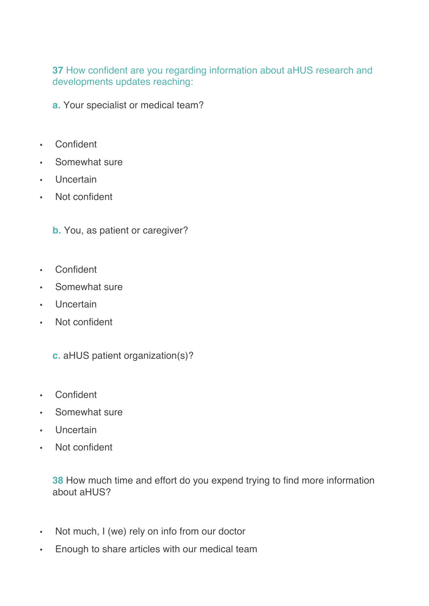**37** How confident are you regarding information about aHUS research and developments updates reaching:

**a.** Your specialist or medical team?

- Confident
- Somewhat sure
- Uncertain
- Not confident

**b.** You, as patient or caregiver?

- Confident
- Somewhat sure
- Uncertain
- Not confident

**c.** aHUS patient organization(s)?

- Confident
- Somewhat sure
- Uncertain
- Not confident

**38** How much time and effort do you expend trying to find more information about aHUS?

- Not much, I (we) rely on info from our doctor
- Enough to share articles with our medical team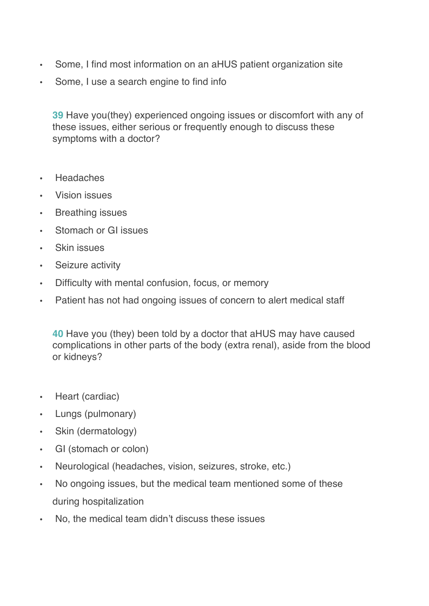- Some, I find most information on an aHUS patient organization site
- Some, I use a search engine to find info

**39** Have you(they) experienced ongoing issues or discomfort with any of these issues, either serious or frequently enough to discuss these symptoms with a doctor?

- Headaches
- Vision issues
- Breathing issues
- Stomach or GI issues
- Skin issues
- Seizure activity
- Difficulty with mental confusion, focus, or memory
- Patient has not had ongoing issues of concern to alert medical staff

**40** Have you (they) been told by a doctor that aHUS may have caused complications in other parts of the body (extra renal), aside from the blood or kidneys?

- Heart (cardiac)
- Lungs (pulmonary)
- Skin (dermatology)
- GI (stomach or colon)
- Neurological (headaches, vision, seizures, stroke, etc.)
- No ongoing issues, but the medical team mentioned some of these during hospitalization
- No, the medical team didn't discuss these issues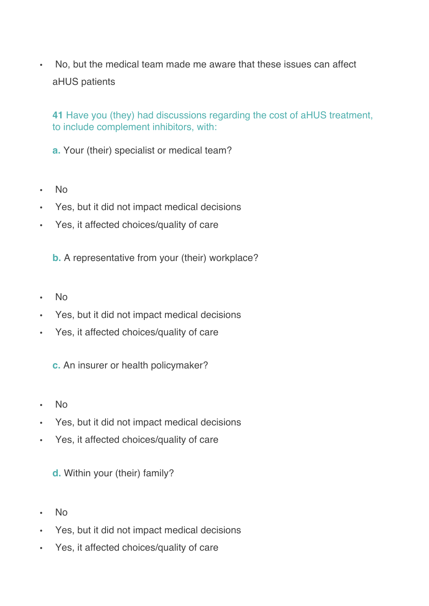• No, but the medical team made me aware that these issues can affect aHUS patients

**41** Have you (they) had discussions regarding the cost of aHUS treatment, to include complement inhibitors, with:

**a.** Your (their) specialist or medical team?

- No
- Yes, but it did not impact medical decisions
- Yes, it affected choices/quality of care

**b.** A representative from your (their) workplace?

- No
- Yes, but it did not impact medical decisions
- Yes, it affected choices/quality of care

**c.** An insurer or health policymaker?

- No
- Yes, but it did not impact medical decisions
- Yes, it affected choices/quality of care

**d.** Within your (their) family?

- No
- Yes, but it did not impact medical decisions
- Yes, it affected choices/quality of care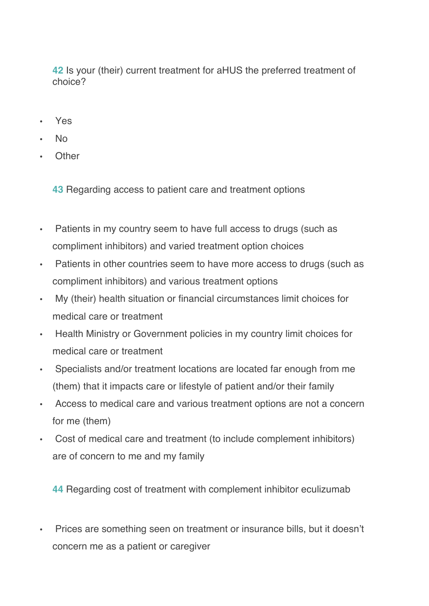**42** Is your (their) current treatment for aHUS the preferred treatment of choice?

- Yes
- No
- Other

**43** Regarding access to patient care and treatment options

- Patients in my country seem to have full access to drugs (such as compliment inhibitors) and varied treatment option choices
- Patients in other countries seem to have more access to drugs (such as compliment inhibitors) and various treatment options
- My (their) health situation or financial circumstances limit choices for medical care or treatment
- Health Ministry or Government policies in my country limit choices for medical care or treatment
- Specialists and/or treatment locations are located far enough from me (them) that it impacts care or lifestyle of patient and/or their family
- Access to medical care and various treatment options are not a concern for me (them)
- Cost of medical care and treatment (to include complement inhibitors) are of concern to me and my family

**44** Regarding cost of treatment with complement inhibitor eculizumab

• Prices are something seen on treatment or insurance bills, but it doesn't concern me as a patient or caregiver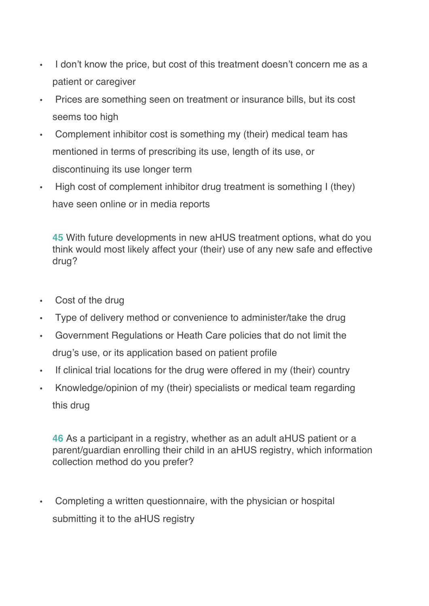- I don't know the price, but cost of this treatment doesn't concern me as a patient or caregiver
- Prices are something seen on treatment or insurance bills, but its cost seems too high
- Complement inhibitor cost is something my (their) medical team has mentioned in terms of prescribing its use, length of its use, or discontinuing its use longer term
- High cost of complement inhibitor drug treatment is something I (they) have seen online or in media reports

**45** With future developments in new aHUS treatment options, what do you think would most likely affect your (their) use of any new safe and effective drug?

- Cost of the drug
- Type of delivery method or convenience to administer/take the drug
- Government Regulations or Heath Care policies that do not limit the drug's use, or its application based on patient profile
- If clinical trial locations for the drug were offered in my (their) country
- Knowledge/opinion of my (their) specialists or medical team regarding this drug

**46** As a participant in a registry, whether as an adult aHUS patient or a parent/guardian enrolling their child in an aHUS registry, which information collection method do you prefer?

• Completing a written questionnaire, with the physician or hospital submitting it to the aHUS registry